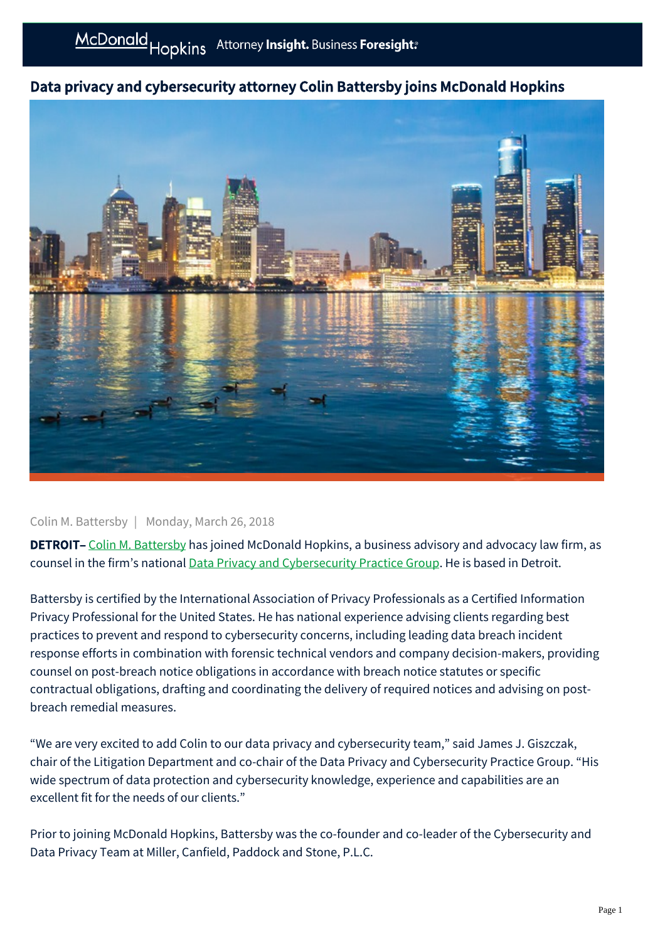## Data privacy and cybersecurity attorney Colin Battersby joins McDonald Hopkins



## Colin M. Battersby | Monday, March 26, 2018

DETROIT– [Colin M. Battersby](https://businessadvocate.mcdonaldhopkins.com/link.aspx?_id=6C6EDB465ABE459D9798A7C1E6B225D4&_z=z) has joined McDonald Hopkins, a business advisory and advocacy law firm, as counsel in the firm's national **[Data Privacy and Cybersecurity Practice Group](https://businessadvocate.mcdonaldhopkins.com/link.aspx?_id=DD3F0B8A363A44B7A6F39835CB908E7F&_z=z)**. He is based in Detroit.

Battersby is certified by the International Association of Privacy Professionals as a Certified Information Privacy Professional for the United States. He has national experience advising clients regarding best practices to prevent and respond to cybersecurity concerns, including leading data breach incident response efforts in combination with forensic technical vendors and company decision-makers, providing counsel on post-breach notice obligations in accordance with breach notice statutes or specific contractual obligations, drafting and coordinating the delivery of required notices and advising on postbreach remedial measures.

"We are very excited to add Colin to our data privacy and cybersecurity team," said James J. Giszczak, chair of the Litigation Department and co-chair of the Data Privacy and Cybersecurity Practice Group. "His wide spectrum of data protection and cybersecurity knowledge, experience and capabilities are an excellent fit for the needs of our clients."

Prior to joining McDonald Hopkins, Battersby was the co-founder and co-leader of the Cybersecurity and Data Privacy Team at Miller, Canfield, Paddock and Stone, P.L.C.